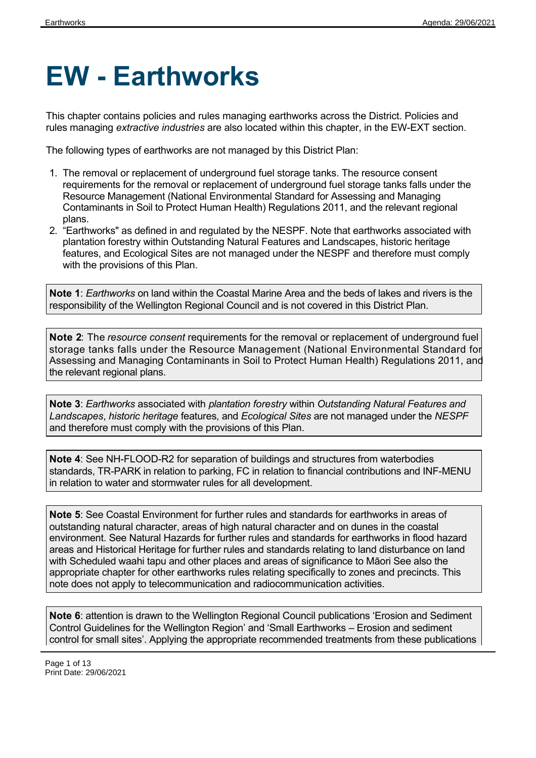# **EW - Earthworks**

This chapter contains policies and rules managing earthworks across the District. Policies and rules managing *extractive industries* are also located within this chapter, in the EW-EXT section.

The following types of earthworks are not managed by this District Plan:

- 1. The removal or replacement of underground fuel storage tanks. The resource consent requirements for the removal or replacement of underground fuel storage tanks falls under the Resource Management (National Environmental Standard for Assessing and Managing Contaminants in Soil to Protect Human Health) Regulations 2011, and the relevant regional plans.
- 2. "Earthworks" as defined in and regulated by the NESPF. Note that earthworks associated with plantation forestry within Outstanding Natural Features and Landscapes, historic heritage features, and Ecological Sites are not managed under the NESPF and therefore must comply with the provisions of this Plan.

**Note 1**: *Earthworks* on land within the Coastal Marine Area and the beds of lakes and rivers is the responsibility of the Wellington Regional Council and is not covered in this District Plan.

**Note 2**: The *resource consent* requirements for the removal or replacement of underground fuel storage tanks falls under the Resource Management (National Environmental Standard for Assessing and Managing Contaminants in Soil to Protect Human Health) Regulations 2011, and the relevant regional plans.

**Note 3**: *Earthworks* associated with *plantation forestry* within *Outstanding Natural Features and Landscapes*, *historic heritage* features*,* and *Ecological Sites* are not managed under the *NESPF* and therefore must comply with the provisions of this Plan.

**Note 4**: See NH-FLOOD-R2 for separation of buildings and structures from waterbodies standards, TR-PARK in relation to parking, FC in relation to financial contributions and INF-MENU in relation to water and stormwater rules for all development.

**Note 5**: See Coastal Environment for further rules and standards for earthworks in areas of outstanding natural character, areas of high natural character and on dunes in the coastal environment. See Natural Hazards for further rules and standards for earthworks in flood hazard areas and Historical Heritage for further rules and standards relating to land disturbance on land with Scheduled waahi tapu and other places and areas of significance to Māori See also the appropriate chapter for other earthworks rules relating specifically to zones and precincts. This note does not apply to telecommunication and radiocommunication activities.

**Note 6**: attention is drawn to the Wellington Regional Council publications 'Erosion and Sediment Control Guidelines for the Wellington Region' and 'Small Earthworks – Erosion and sediment control for small sites'. Applying the appropriate recommended treatments from these publications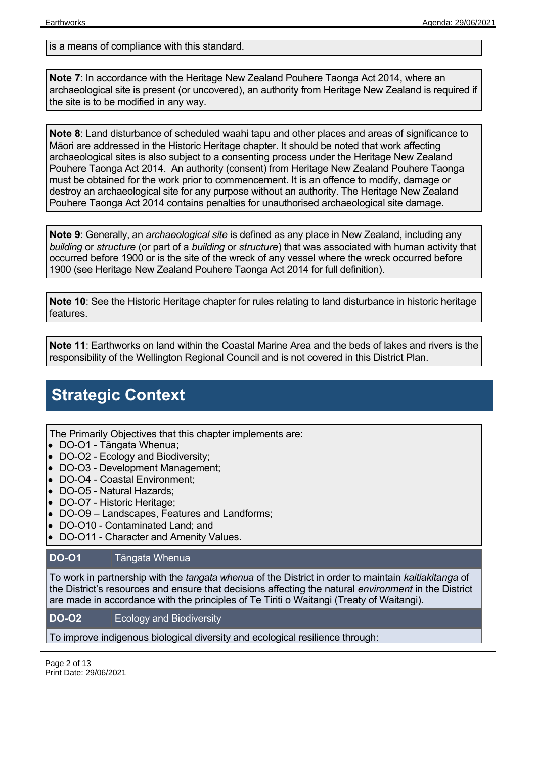is a means of compliance with this standard.

**Note 7**: In accordance with the Heritage New Zealand Pouhere Taonga Act 2014, where an archaeological site is present (or uncovered), an authority from Heritage New Zealand is required if the site is to be modified in any way.

**Note 8**: Land disturbance of scheduled waahi tapu and other places and areas of significance to Māori are addressed in the Historic Heritage chapter. It should be noted that work affecting archaeological sites is also subject to a consenting process under the Heritage New Zealand Pouhere Taonga Act 2014. An authority (consent) from Heritage New Zealand Pouhere Taonga must be obtained for the work prior to commencement. It is an offence to modify, damage or destroy an archaeological site for any purpose without an authority. The Heritage New Zealand Pouhere Taonga Act 2014 contains penalties for unauthorised archaeological site damage.

**Note 9**: Generally, an *archaeological site* is defined as any place in New Zealand, including any *building* or *structure* (or part of a *building* or *structure*) that was associated with human activity that occurred before 1900 or is the site of the wreck of any vessel where the wreck occurred before 1900 (see Heritage New Zealand Pouhere Taonga Act 2014 for full definition).

**Note 10**: See the Historic Heritage chapter for rules relating to land disturbance in historic heritage features.

**Note 11**: Earthworks on land within the Coastal Marine Area and the beds of lakes and rivers is the responsibility of the Wellington Regional Council and is not covered in this District Plan.

### **Strategic Context**

The Primarily Objectives that this chapter implements are:

- DO-O1 Tāngata Whenua;
- DO-O2 Ecology and Biodiversity;
- DO-O3 Development Management;
- DO-O4 Coastal Environment:
- DO-O5 Natural Hazards;
- DO-O7 Historic Heritage;
- DO-O9 Landscapes, Features and Landforms;
- DO-O10 Contaminated Land; and
- DO-O11 Character and Amenity Values.

#### **DO-O1** Tāngata Whenua

To work in partnership with the *tangata whenua* of the District in order to maintain *kaitiakitanga* of the District's resources and ensure that decisions affecting the natural *environment* in the District are made in accordance with the principles of Te Tiriti o Waitangi (Treaty of Waitangi).

#### **DO-O2** Ecology and Biodiversity

To improve indigenous biological diversity and ecological resilience through:

Page 2 of 13 Print Date: 29/06/2021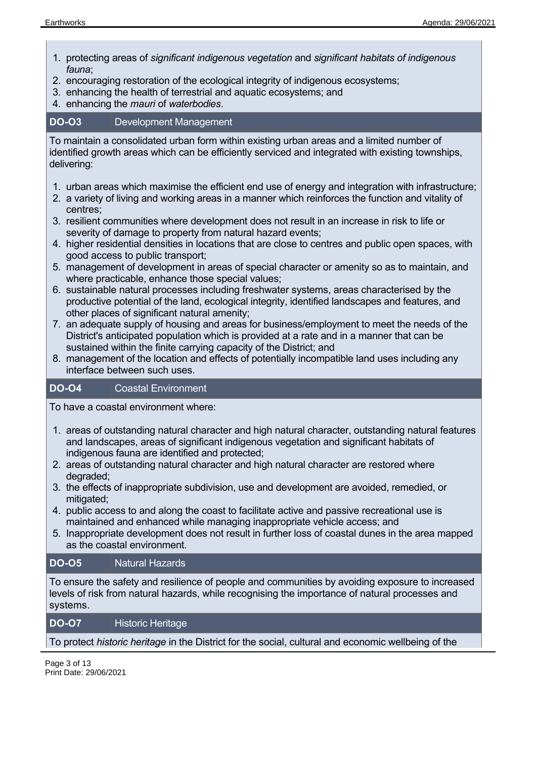- 1. protecting areas of *significant indigenous vegetation* and *significant habitats of indigenous fauna*;
- 2. encouraging restoration of the ecological integrity of indigenous ecosystems;
- 3. enhancing the health of terrestrial and aquatic ecosystems; and
- 4. enhancing the *mauri* of *waterbodies*.

#### **DO-O3** Development Management

To maintain a consolidated urban form within existing urban areas and a limited number of identified growth areas which can be efficiently serviced and integrated with existing townships, delivering:

- 1. urban areas which maximise the efficient end use of energy and integration with infrastructure;
- 2. a variety of living and working areas in a manner which reinforces the function and vitality of centres;
- 3. resilient communities where development does not result in an increase in risk to life or severity of damage to property from natural hazard events;
- 4. higher residential densities in locations that are close to centres and public open spaces, with good access to public transport;
- 5. management of development in areas of special character or amenity so as to maintain, and where practicable, enhance those special values;
- 6. sustainable natural processes including freshwater systems, areas characterised by the productive potential of the land, ecological integrity, identified landscapes and features, and other places of significant natural amenity;
- 7. an adequate supply of housing and areas for business/employment to meet the needs of the District's anticipated population which is provided at a rate and in a manner that can be sustained within the finite carrying capacity of the District; and
- 8. management of the location and effects of potentially incompatible land uses including any interface between such uses.

#### **DO-O4** Coastal Environment

To have a coastal environment where:

- 1. areas of outstanding natural character and high natural character, outstanding natural features and landscapes, areas of significant indigenous vegetation and significant habitats of indigenous fauna are identified and protected;
- 2. areas of outstanding natural character and high natural character are restored where degraded;
- 3. the effects of inappropriate subdivision, use and development are avoided, remedied, or mitigated:
- 4. public access to and along the coast to facilitate active and passive recreational use is maintained and enhanced while managing inappropriate vehicle access; and
- 5. Inappropriate development does not result in further loss of coastal dunes in the area mapped as the coastal environment.

#### **DO-O5** Natural Hazards

To ensure the safety and resilience of people and communities by avoiding exposure to increased levels of risk from natural hazards, while recognising the importance of natural processes and systems.

#### **DO-O7** Historic Heritage

To protect *historic heritage* in the District for the social, cultural and economic wellbeing of the

Page 3 of 13 Print Date: 29/06/2021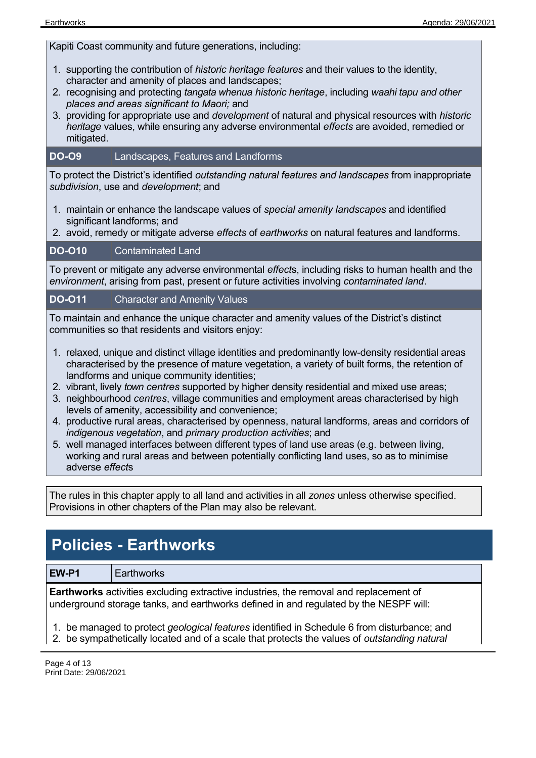Kapiti Coast community and future generations, including:

- 1. supporting the contribution of *historic heritage features* and their values to the identity, character and amenity of places and landscapes;
- 2. recognising and protecting *tangata whenua historic heritage*, including *waahi tapu and other places and areas significant to Maori;* and
- 3. providing for appropriate use and *development* of natural and physical resources with *historic heritage* values, while ensuring any adverse environmental *effects* are avoided, remedied or mitigated.

#### **DO-O9** Landscapes, Features and Landforms

To protect the District's identified *outstanding natural features and landscapes* from inappropriate *subdivision*, use and *development*; and

- 1. maintain or enhance the landscape values of *special amenity landscapes* and identified significant landforms; and
- 2. avoid, remedy or mitigate adverse *effects* of *earthworks* on natural features and landforms.

#### **DO-O10** Contaminated Land

To prevent or mitigate any adverse environmental *effect*s, including risks to human health and the *environment*, arising from past, present or future activities involving *contaminated land*.

#### **DO-O11** Character and Amenity Values

To maintain and enhance the unique character and amenity values of the District's distinct communities so that residents and visitors enjoy:

- 1. relaxed, unique and distinct village identities and predominantly low-density residential areas characterised by the presence of mature vegetation, a variety of built forms, the retention of landforms and unique community identities;
- 2. vibrant, lively *town centres* supported by higher density residential and mixed use areas;
- 3. neighbourhood *centres*, village communities and employment areas characterised by high levels of amenity, accessibility and convenience;
- 4. productive rural areas, characterised by openness, natural landforms, areas and corridors of *indigenous vegetation*, and *primary production activities*; and
- 5. well managed interfaces between different types of land use areas (e.g. between living, working and rural areas and between potentially conflicting land uses, so as to minimise adverse *effect*s

The rules in this chapter apply to all land and activities in all *zones* unless otherwise specified. Provisions in other chapters of the Plan may also be relevant.

### **Policies - Earthworks**

**EW-P1** Earthworks

**Earthworks** activities excluding extractive industries, the removal and replacement of underground storage tanks, and earthworks defined in and regulated by the NESPF will:

1. be managed to protect *geological features* identified in Schedule 6 from disturbance; and

2. be sympathetically located and of a scale that protects the values of *outstanding natural*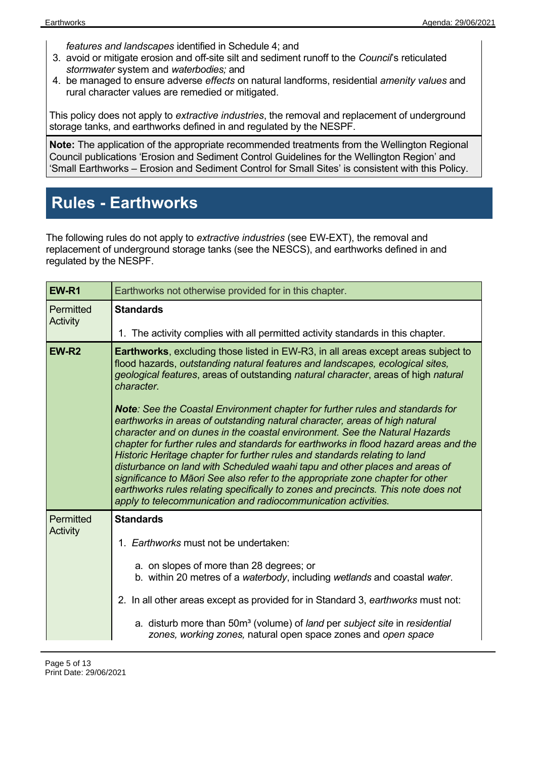*features and landscapes* identified in Schedule 4; and

- 3. avoid or mitigate erosion and off-site silt and sediment runoff to the *Council*'s reticulated *stormwater* system and *waterbodies;* and
- 4. be managed to ensure adverse *effects* on natural landforms, residential *amenity values* and rural character values are remedied or mitigated.

This policy does not apply to *extractive industries*, the removal and replacement of underground storage tanks, and earthworks defined in and regulated by the NESPF.

**Note:** The application of the appropriate recommended treatments from the Wellington Regional Council publications 'Erosion and Sediment Control Guidelines for the Wellington Region' and 'Small Earthworks – Erosion and Sediment Control for Small Sites' is consistent with this Policy.

### **Rules - Earthworks**

The following rules do not apply to *extractive industries* (see EW-EXT), the removal and replacement of underground storage tanks (see the NESCS), and earthworks defined in and regulated by the NESPF.

| EW-R1                 | Earthworks not otherwise provided for in this chapter.                                                                                                                                                                                                                                                                                                                                                                                                                                                                                                                                                                                                                                                                                         |  |
|-----------------------|------------------------------------------------------------------------------------------------------------------------------------------------------------------------------------------------------------------------------------------------------------------------------------------------------------------------------------------------------------------------------------------------------------------------------------------------------------------------------------------------------------------------------------------------------------------------------------------------------------------------------------------------------------------------------------------------------------------------------------------------|--|
| Permitted<br>Activity | <b>Standards</b>                                                                                                                                                                                                                                                                                                                                                                                                                                                                                                                                                                                                                                                                                                                               |  |
|                       | 1. The activity complies with all permitted activity standards in this chapter.                                                                                                                                                                                                                                                                                                                                                                                                                                                                                                                                                                                                                                                                |  |
| EW-R <sub>2</sub>     | <b>Earthworks</b> , excluding those listed in EW-R3, in all areas except areas subject to<br>flood hazards, outstanding natural features and landscapes, ecological sites,<br>geological features, areas of outstanding natural character, areas of high natural<br>character.                                                                                                                                                                                                                                                                                                                                                                                                                                                                 |  |
|                       | <b>Note:</b> See the Coastal Environment chapter for further rules and standards for<br>earthworks in areas of outstanding natural character, areas of high natural<br>character and on dunes in the coastal environment. See the Natural Hazards<br>chapter for further rules and standards for earthworks in flood hazard areas and the<br>Historic Heritage chapter for further rules and standards relating to land<br>disturbance on land with Scheduled waahi tapu and other places and areas of<br>significance to Māori See also refer to the appropriate zone chapter for other<br>earthworks rules relating specifically to zones and precincts. This note does not<br>apply to telecommunication and radiocommunication activities. |  |
| Permitted             | <b>Standards</b>                                                                                                                                                                                                                                                                                                                                                                                                                                                                                                                                                                                                                                                                                                                               |  |
| Activity              | 1. Earthworks must not be undertaken:                                                                                                                                                                                                                                                                                                                                                                                                                                                                                                                                                                                                                                                                                                          |  |
|                       | a. on slopes of more than 28 degrees; or<br>b. within 20 metres of a waterbody, including wetlands and coastal water.                                                                                                                                                                                                                                                                                                                                                                                                                                                                                                                                                                                                                          |  |
|                       | 2. In all other areas except as provided for in Standard 3, earthworks must not:                                                                                                                                                                                                                                                                                                                                                                                                                                                                                                                                                                                                                                                               |  |
|                       | a. disturb more than 50m <sup>3</sup> (volume) of land per subject site in residential<br>zones, working zones, natural open space zones and open space                                                                                                                                                                                                                                                                                                                                                                                                                                                                                                                                                                                        |  |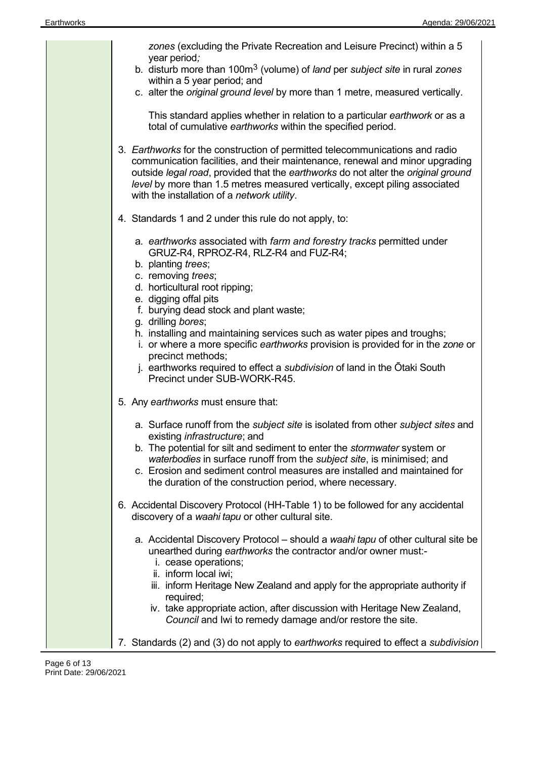| zones (excluding the Private Recreation and Leisure Precinct) within a 5<br>year period;                                                                                                                                                                                                                                                                                        |
|---------------------------------------------------------------------------------------------------------------------------------------------------------------------------------------------------------------------------------------------------------------------------------------------------------------------------------------------------------------------------------|
| b. disturb more than 100m <sup>3</sup> (volume) of <i>land</i> per <i>subject site</i> in rural zones<br>within a 5 year period; and                                                                                                                                                                                                                                            |
| c. alter the original ground level by more than 1 metre, measured vertically.                                                                                                                                                                                                                                                                                                   |
| This standard applies whether in relation to a particular earthwork or as a<br>total of cumulative earthworks within the specified period.                                                                                                                                                                                                                                      |
| 3. Earthworks for the construction of permitted telecommunications and radio<br>communication facilities, and their maintenance, renewal and minor upgrading<br>outside legal road, provided that the earthworks do not alter the original ground<br>level by more than 1.5 metres measured vertically, except piling associated<br>with the installation of a network utility. |
| 4. Standards 1 and 2 under this rule do not apply, to:                                                                                                                                                                                                                                                                                                                          |
| a. earthworks associated with farm and forestry tracks permitted under<br>GRUZ-R4, RPROZ-R4, RLZ-R4 and FUZ-R4;<br>b. planting trees;                                                                                                                                                                                                                                           |
| c. removing trees;<br>d. horticultural root ripping;                                                                                                                                                                                                                                                                                                                            |
| e. digging offal pits                                                                                                                                                                                                                                                                                                                                                           |
| f. burying dead stock and plant waste;<br>g. drilling bores;                                                                                                                                                                                                                                                                                                                    |
| h. installing and maintaining services such as water pipes and troughs;<br>i. or where a more specific earthworks provision is provided for in the zone or                                                                                                                                                                                                                      |
| precinct methods;<br>j. earthworks required to effect a subdivision of land in the Otaki South<br>Precinct under SUB-WORK-R45.                                                                                                                                                                                                                                                  |
| 5. Any earthworks must ensure that:                                                                                                                                                                                                                                                                                                                                             |
| a. Surface runoff from the subject site is isolated from other subject sites and<br>existing <i>infrastructure</i> ; and                                                                                                                                                                                                                                                        |
| b. The potential for silt and sediment to enter the <i>stormwater</i> system or<br>waterbodies in surface runoff from the subject site, is minimised; and<br>c. Erosion and sediment control measures are installed and maintained for<br>the duration of the construction period, where necessary.                                                                             |
| 6. Accidental Discovery Protocol (HH-Table 1) to be followed for any accidental<br>discovery of a waahi tapu or other cultural site.                                                                                                                                                                                                                                            |
| a. Accidental Discovery Protocol – should a waahi tapu of other cultural site be<br>unearthed during earthworks the contractor and/or owner must:-<br>i. cease operations;<br>ii. inform local iwi;                                                                                                                                                                             |
| iii. inform Heritage New Zealand and apply for the appropriate authority if<br>required;<br>iv. take appropriate action, after discussion with Heritage New Zealand,<br>Council and Iwi to remedy damage and/or restore the site.                                                                                                                                               |
|                                                                                                                                                                                                                                                                                                                                                                                 |

7. Standards (2) and (3) do not apply to *earthworks* required to effect a *subdivision*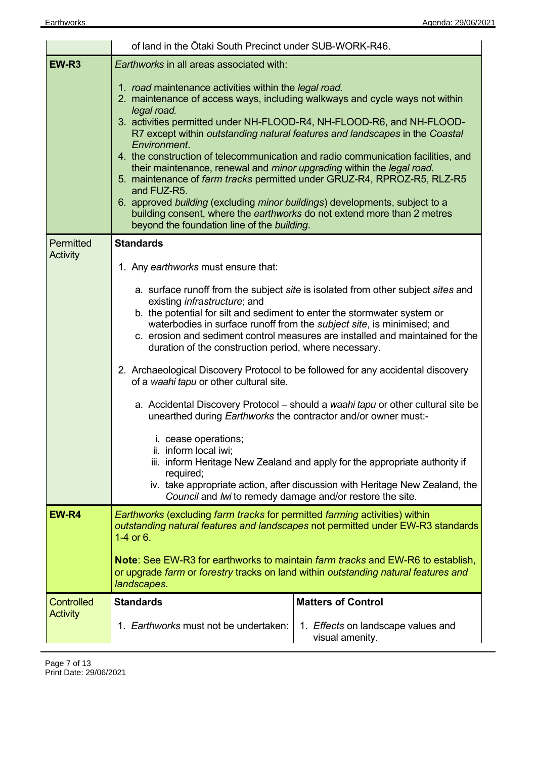|                                                                                                                                                                                                                                                                | of land in the Otaki South Precinct under SUB-WORK-R46.                                                                                                                                                                                                                                                                                                                                                                                                                                                                                                                                                                                                                                                                                              |                                                                                                                                                                 |
|----------------------------------------------------------------------------------------------------------------------------------------------------------------------------------------------------------------------------------------------------------------|------------------------------------------------------------------------------------------------------------------------------------------------------------------------------------------------------------------------------------------------------------------------------------------------------------------------------------------------------------------------------------------------------------------------------------------------------------------------------------------------------------------------------------------------------------------------------------------------------------------------------------------------------------------------------------------------------------------------------------------------------|-----------------------------------------------------------------------------------------------------------------------------------------------------------------|
| EW-R <sub>3</sub>                                                                                                                                                                                                                                              | Earthworks in all areas associated with:                                                                                                                                                                                                                                                                                                                                                                                                                                                                                                                                                                                                                                                                                                             |                                                                                                                                                                 |
|                                                                                                                                                                                                                                                                | 1. road maintenance activities within the legal road.<br>2. maintenance of access ways, including walkways and cycle ways not within<br>legal road.<br>3. activities permitted under NH-FLOOD-R4, NH-FLOOD-R6, and NH-FLOOD-<br>Environment.<br>their maintenance, renewal and minor upgrading within the legal road.<br>5. maintenance of farm tracks permitted under GRUZ-R4, RPROZ-R5, RLZ-R5<br>and FUZ-R5.<br>6. approved building (excluding minor buildings) developments, subject to a<br>building consent, where the earthworks do not extend more than 2 metres<br>beyond the foundation line of the building.                                                                                                                             | R7 except within outstanding natural features and landscapes in the Coastal<br>4. the construction of telecommunication and radio communication facilities, and |
| Permitted<br>Activity                                                                                                                                                                                                                                          | <b>Standards</b>                                                                                                                                                                                                                                                                                                                                                                                                                                                                                                                                                                                                                                                                                                                                     |                                                                                                                                                                 |
|                                                                                                                                                                                                                                                                | 1. Any earthworks must ensure that:                                                                                                                                                                                                                                                                                                                                                                                                                                                                                                                                                                                                                                                                                                                  |                                                                                                                                                                 |
|                                                                                                                                                                                                                                                                | a. surface runoff from the subject site is isolated from other subject sites and<br>existing <i>infrastructure</i> ; and<br>b. the potential for silt and sediment to enter the stormwater system or<br>waterbodies in surface runoff from the <i>subject site</i> , is minimised; and<br>c. erosion and sediment control measures are installed and maintained for the<br>duration of the construction period, where necessary.<br>2. Archaeological Discovery Protocol to be followed for any accidental discovery<br>of a waahi tapu or other cultural site.<br>a. Accidental Discovery Protocol - should a waahi tapu or other cultural site be<br>unearthed during <i>Earthworks</i> the contractor and/or owner must:-<br>i. cease operations: |                                                                                                                                                                 |
| ii. inform local iwi;<br>iii. inform Heritage New Zealand and apply for the appropriate authority if<br>required;<br>iv. take appropriate action, after discussion with Heritage New Zealand, the<br>Council and Iwi to remedy damage and/or restore the site. |                                                                                                                                                                                                                                                                                                                                                                                                                                                                                                                                                                                                                                                                                                                                                      |                                                                                                                                                                 |
| EW-R4                                                                                                                                                                                                                                                          | <b>Earthworks (excluding farm tracks for permitted farming activities) within</b><br>outstanding natural features and landscapes not permitted under EW-R3 standards<br>1-4 or $6.$                                                                                                                                                                                                                                                                                                                                                                                                                                                                                                                                                                  |                                                                                                                                                                 |
|                                                                                                                                                                                                                                                                | <b>Note:</b> See EW-R3 for earthworks to maintain <i>farm tracks</i> and EW-R6 to establish,<br>or upgrade farm or forestry tracks on land within outstanding natural features and<br>landscapes.                                                                                                                                                                                                                                                                                                                                                                                                                                                                                                                                                    |                                                                                                                                                                 |
| <b>Controlled</b>                                                                                                                                                                                                                                              | <b>Standards</b>                                                                                                                                                                                                                                                                                                                                                                                                                                                                                                                                                                                                                                                                                                                                     | <b>Matters of Control</b>                                                                                                                                       |
| <b>Activity</b>                                                                                                                                                                                                                                                | 1. Earthworks must not be undertaken:                                                                                                                                                                                                                                                                                                                                                                                                                                                                                                                                                                                                                                                                                                                | 1. Effects on landscape values and<br>visual amenity.                                                                                                           |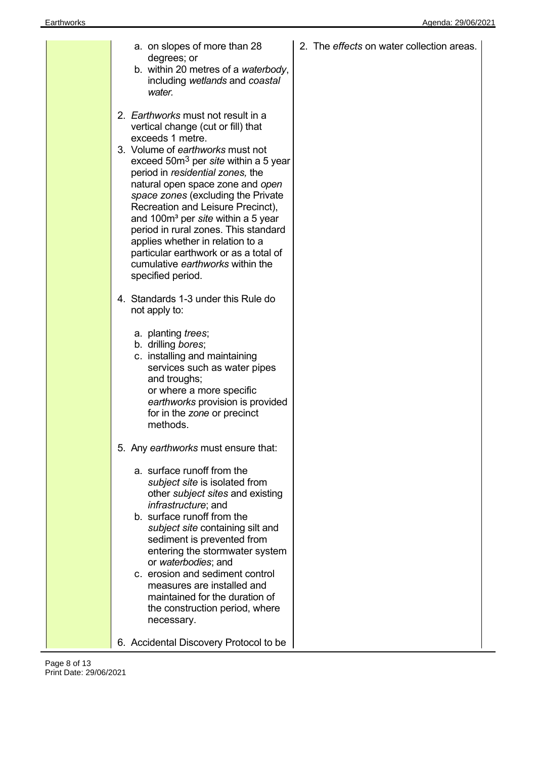|  | a. on slopes of more than 28<br>degrees; or<br>b. within 20 metres of a waterbody,<br>including wetlands and coastal<br>water.                                                                                                                                                                                                                                                                                                                                                                                                                                 | 2. The effects on water collection areas. |
|--|----------------------------------------------------------------------------------------------------------------------------------------------------------------------------------------------------------------------------------------------------------------------------------------------------------------------------------------------------------------------------------------------------------------------------------------------------------------------------------------------------------------------------------------------------------------|-------------------------------------------|
|  | 2. Earthworks must not result in a<br>vertical change (cut or fill) that<br>exceeds 1 metre.<br>3. Volume of earthworks must not<br>exceed 50 $m3$ per site within a 5 year<br>period in residential zones, the<br>natural open space zone and open<br>space zones (excluding the Private<br>Recreation and Leisure Precinct),<br>and 100m <sup>3</sup> per site within a 5 year<br>period in rural zones. This standard<br>applies whether in relation to a<br>particular earthwork or as a total of<br>cumulative earthworks within the<br>specified period. |                                           |
|  | 4. Standards 1-3 under this Rule do<br>not apply to:<br>a. planting trees;<br>b. drilling bores;<br>c. installing and maintaining<br>services such as water pipes<br>and troughs;<br>or where a more specific<br>earthworks provision is provided<br>for in the zone or precinct<br>methods.                                                                                                                                                                                                                                                                   |                                           |
|  | 5. Any earthworks must ensure that:<br>a. surface runoff from the<br>subject site is isolated from<br>other subject sites and existing<br><i>infrastructure; and</i><br>b. surface runoff from the<br>subject site containing silt and<br>sediment is prevented from<br>entering the stormwater system<br>or waterbodies; and<br>c. erosion and sediment control<br>measures are installed and<br>maintained for the duration of<br>the construction period, where<br>necessary.                                                                               |                                           |
|  | 6. Accidental Discovery Protocol to be                                                                                                                                                                                                                                                                                                                                                                                                                                                                                                                         |                                           |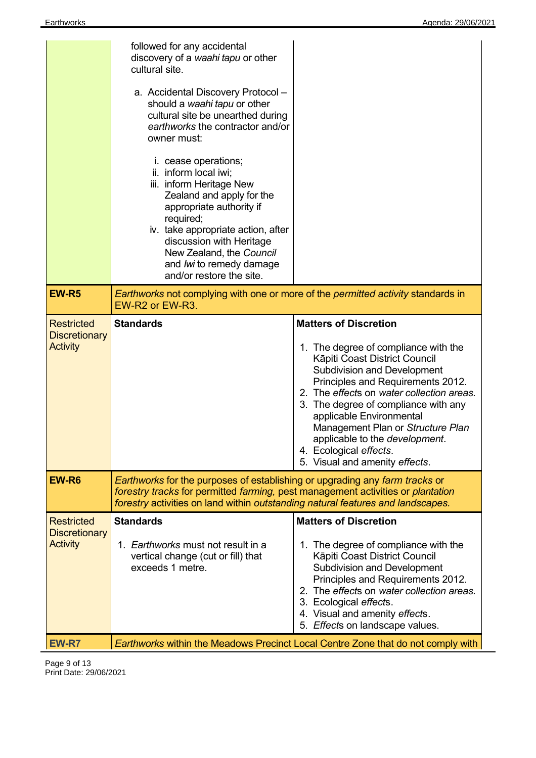|                                                              | followed for any accidental<br>discovery of a waahi tapu or other<br>cultural site.<br>a. Accidental Discovery Protocol -<br>should a waahi tapu or other<br>cultural site be unearthed during<br>earthworks the contractor and/or<br>owner must:<br><i>i.</i> cease operations;<br>ii. inform local iwi;<br>iii. inform Heritage New<br>Zealand and apply for the<br>appropriate authority if<br>required;<br>iv. take appropriate action, after<br>discussion with Heritage<br>New Zealand, the Council<br>and <i>lwi</i> to remedy damage<br>and/or restore the site. |                                                                                                                                                                                                                                                                                                                                                                                                                                      |
|--------------------------------------------------------------|--------------------------------------------------------------------------------------------------------------------------------------------------------------------------------------------------------------------------------------------------------------------------------------------------------------------------------------------------------------------------------------------------------------------------------------------------------------------------------------------------------------------------------------------------------------------------|--------------------------------------------------------------------------------------------------------------------------------------------------------------------------------------------------------------------------------------------------------------------------------------------------------------------------------------------------------------------------------------------------------------------------------------|
| <b>EW-R5</b>                                                 | Earthworks not complying with one or more of the permitted activity standards in<br>EW-R2 or EW-R3.                                                                                                                                                                                                                                                                                                                                                                                                                                                                      |                                                                                                                                                                                                                                                                                                                                                                                                                                      |
| <b>Restricted</b><br><b>Discretionary</b><br><b>Activity</b> | <b>Standards</b>                                                                                                                                                                                                                                                                                                                                                                                                                                                                                                                                                         | <b>Matters of Discretion</b><br>1. The degree of compliance with the<br>Kāpiti Coast District Council<br><b>Subdivision and Development</b><br>Principles and Requirements 2012.<br>2. The effects on water collection areas.<br>3. The degree of compliance with any<br>applicable Environmental<br>Management Plan or Structure Plan<br>applicable to the development.<br>4. Ecological effects.<br>5. Visual and amenity effects. |
| EW-R6                                                        | Earthworks for the purposes of establishing or upgrading any farm tracks or<br>forestry tracks for permitted farming, pest management activities or plantation<br>forestry activities on land within outstanding natural features and landscapes.                                                                                                                                                                                                                                                                                                                        |                                                                                                                                                                                                                                                                                                                                                                                                                                      |
| <b>Restricted</b><br><b>Discretionary</b>                    | <b>Standards</b>                                                                                                                                                                                                                                                                                                                                                                                                                                                                                                                                                         | <b>Matters of Discretion</b>                                                                                                                                                                                                                                                                                                                                                                                                         |
| <b>Activity</b>                                              | 1. Earthworks must not result in a<br>vertical change (cut or fill) that<br>exceeds 1 metre.                                                                                                                                                                                                                                                                                                                                                                                                                                                                             | 1. The degree of compliance with the<br>Kāpiti Coast District Council<br><b>Subdivision and Development</b><br>Principles and Requirements 2012.<br>2. The effects on water collection areas.<br>3. Ecological effects.<br>4. Visual and amenity effects.<br>5. Effects on landscape values.                                                                                                                                         |
| EW-R7                                                        |                                                                                                                                                                                                                                                                                                                                                                                                                                                                                                                                                                          | <b>Earthworks within the Meadows Precinct Local Centre Zone that do not comply with</b>                                                                                                                                                                                                                                                                                                                                              |

Page 9 of 13 Print Date: 29/06/2021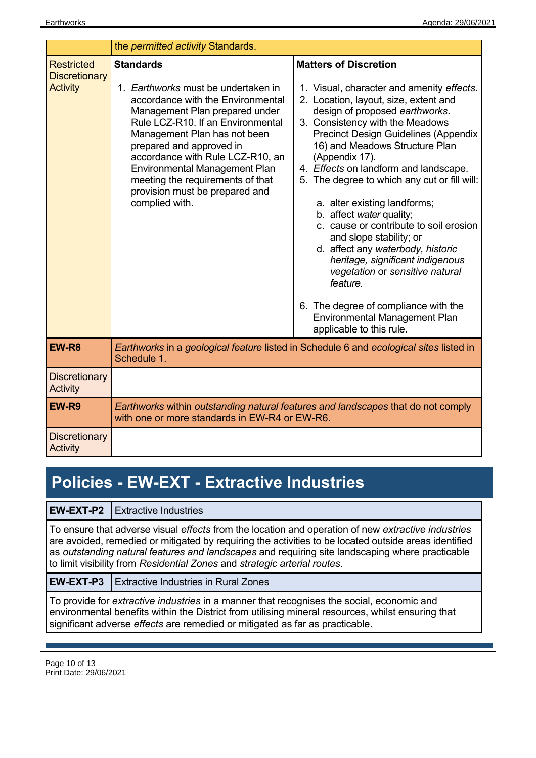|                                                              | the permitted activity Standards.                                                                                                                                                                                                                                                                                                                                                                   |                                                                                                                                                                                                                                                                                                                                                                                                                                                                                                                                                                                                                                                                                                                                                   |
|--------------------------------------------------------------|-----------------------------------------------------------------------------------------------------------------------------------------------------------------------------------------------------------------------------------------------------------------------------------------------------------------------------------------------------------------------------------------------------|---------------------------------------------------------------------------------------------------------------------------------------------------------------------------------------------------------------------------------------------------------------------------------------------------------------------------------------------------------------------------------------------------------------------------------------------------------------------------------------------------------------------------------------------------------------------------------------------------------------------------------------------------------------------------------------------------------------------------------------------------|
| <b>Restricted</b><br><b>Discretionary</b><br><b>Activity</b> | <b>Standards</b><br>1. Earthworks must be undertaken in<br>accordance with the Environmental<br>Management Plan prepared under<br>Rule LCZ-R10. If an Environmental<br>Management Plan has not been<br>prepared and approved in<br>accordance with Rule LCZ-R10, an<br><b>Environmental Management Plan</b><br>meeting the requirements of that<br>provision must be prepared and<br>complied with. | <b>Matters of Discretion</b><br>1. Visual, character and amenity effects.<br>2. Location, layout, size, extent and<br>design of proposed earthworks.<br>3. Consistency with the Meadows<br><b>Precinct Design Guidelines (Appendix</b><br>16) and Meadows Structure Plan<br>(Appendix 17).<br>4. Effects on landform and landscape.<br>5. The degree to which any cut or fill will:<br>a. alter existing landforms;<br>b. affect water quality;<br>c. cause or contribute to soil erosion<br>and slope stability; or<br>d. affect any waterbody, historic<br>heritage, significant indigenous<br>vegetation or sensitive natural<br>feature.<br>6. The degree of compliance with the<br>Environmental Management Plan<br>applicable to this rule. |
| EW-R <sub>8</sub>                                            | Schedule 1.                                                                                                                                                                                                                                                                                                                                                                                         | Earthworks in a geological feature listed in Schedule 6 and ecological sites listed in                                                                                                                                                                                                                                                                                                                                                                                                                                                                                                                                                                                                                                                            |
| <b>Discretionary</b><br><b>Activity</b>                      |                                                                                                                                                                                                                                                                                                                                                                                                     |                                                                                                                                                                                                                                                                                                                                                                                                                                                                                                                                                                                                                                                                                                                                                   |
| EW-R9                                                        | with one or more standards in EW-R4 or EW-R6.                                                                                                                                                                                                                                                                                                                                                       | Earthworks within outstanding natural features and landscapes that do not comply                                                                                                                                                                                                                                                                                                                                                                                                                                                                                                                                                                                                                                                                  |
| <b>Discretionary</b><br><b>Activity</b>                      |                                                                                                                                                                                                                                                                                                                                                                                                     |                                                                                                                                                                                                                                                                                                                                                                                                                                                                                                                                                                                                                                                                                                                                                   |

## **Policies - EW-EXT - Extractive Industries**

**EW-EXT-P2** Extractive Industries

To ensure that adverse visual *effects* from the location and operation of new *extractive industries* are avoided, remedied or mitigated by requiring the activities to be located outside areas identified as *outstanding natural features and landscapes* and requiring site landscaping where practicable to limit visibility from *Residential Zones* and *strategic arterial routes*.

**EW-EXT-P3** Extractive Industries in Rural Zones

To provide for *extractive industries* in a manner that recognises the social, economic and environmental benefits within the District from utilising mineral resources, whilst ensuring that significant adverse *effects* are remedied or mitigated as far as practicable.

Page 10 of 13 Print Date: 29/06/2021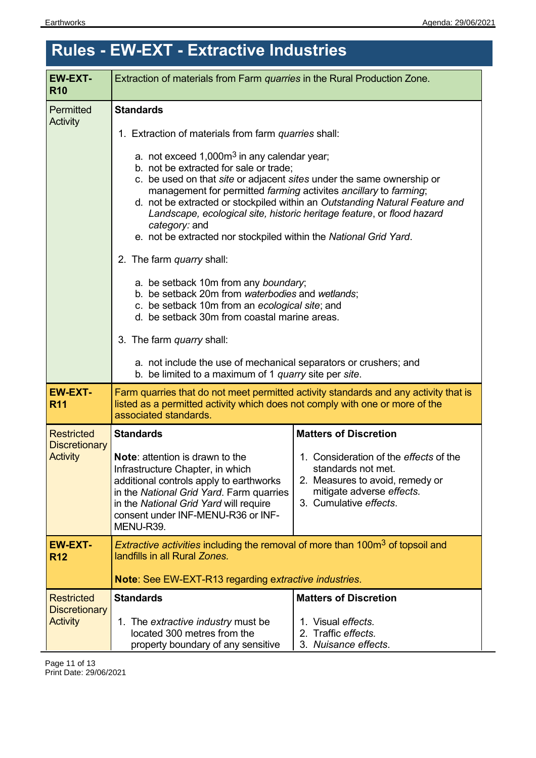# **Rules - EW-EXT - Extractive Industries**

| <b>EW-EXT-</b><br><b>R10</b>                                                                                                                                      | Extraction of materials from Farm quarries in the Rural Production Zone.                                                                                                                                                                                                                                                    |                                                                                                                                                        |  |
|-------------------------------------------------------------------------------------------------------------------------------------------------------------------|-----------------------------------------------------------------------------------------------------------------------------------------------------------------------------------------------------------------------------------------------------------------------------------------------------------------------------|--------------------------------------------------------------------------------------------------------------------------------------------------------|--|
| Permitted<br><b>Activity</b>                                                                                                                                      | <b>Standards</b><br>1. Extraction of materials from farm quarries shall:                                                                                                                                                                                                                                                    |                                                                                                                                                        |  |
|                                                                                                                                                                   | a. not exceed $1,000m^3$ in any calendar year;<br>b. not be extracted for sale or trade;<br>c. be used on that site or adjacent sites under the same ownership or<br>management for permitted farming activites ancillary to farming;<br>category: and<br>e. not be extracted nor stockpiled within the National Grid Yard. | d. not be extracted or stockpiled within an Outstanding Natural Feature and<br>Landscape, ecological site, historic heritage feature, or flood hazard  |  |
|                                                                                                                                                                   | 2. The farm quarry shall:<br>a. be setback 10m from any boundary;<br>b. be setback 20m from waterbodies and wetlands;<br>c. be setback 10m from an ecological site; and<br>d. be setback 30m from coastal marine areas.                                                                                                     |                                                                                                                                                        |  |
|                                                                                                                                                                   | 3. The farm quarry shall:<br>a. not include the use of mechanical separators or crushers; and<br>b. be limited to a maximum of 1 <i>quarry</i> site per site.                                                                                                                                                               |                                                                                                                                                        |  |
| <b>EW-EXT-</b><br><b>R11</b>                                                                                                                                      | Farm quarries that do not meet permitted activity standards and any activity that is<br>listed as a permitted activity which does not comply with one or more of the<br>associated standards.                                                                                                                               |                                                                                                                                                        |  |
| <b>Restricted</b>                                                                                                                                                 | <b>Standards</b>                                                                                                                                                                                                                                                                                                            | <b>Matters of Discretion</b>                                                                                                                           |  |
| <b>Discretionary</b><br><b>Activity</b>                                                                                                                           | <b>Note:</b> attention is drawn to the<br>Infrastructure Chapter, in which<br>additional controls apply to earthworks<br>in the National Grid Yard. Farm quarries<br>in the National Grid Yard will require<br>consent under INF-MENU-R36 or INF-<br>MENU-R39.                                                              | 1. Consideration of the effects of the<br>standards not met.<br>2. Measures to avoid, remedy or<br>mitigate adverse effects.<br>3. Cumulative effects. |  |
| <i>Extractive activities</i> including the removal of more than 100m <sup>3</sup> of topsoil and<br><b>EW-EXT-</b><br>landfills in all Rural Zones.<br><b>R12</b> |                                                                                                                                                                                                                                                                                                                             |                                                                                                                                                        |  |
|                                                                                                                                                                   | <b>Note: See EW-EXT-R13 regarding extractive industries.</b>                                                                                                                                                                                                                                                                |                                                                                                                                                        |  |
| <b>Restricted</b><br><b>Discretionary</b><br><b>Activity</b>                                                                                                      | <b>Standards</b><br>1. The extractive industry must be<br>located 300 metres from the<br>property boundary of any sensitive                                                                                                                                                                                                 | <b>Matters of Discretion</b><br>1. Visual effects.<br>2. Traffic effects.<br>3. Nuisance effects.                                                      |  |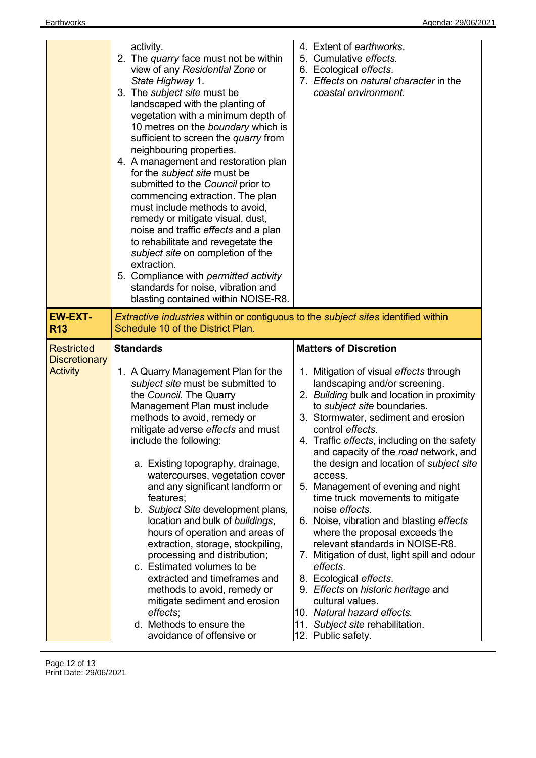|                                                              | activity.<br>2. The quarry face must not be within<br>view of any Residential Zone or<br>State Highway 1.<br>3. The subject site must be<br>landscaped with the planting of<br>vegetation with a minimum depth of<br>10 metres on the boundary which is<br>sufficient to screen the quarry from<br>neighbouring properties.<br>4. A management and restoration plan<br>for the <i>subject</i> site must be<br>submitted to the Council prior to<br>commencing extraction. The plan<br>must include methods to avoid,<br>remedy or mitigate visual, dust,<br>noise and traffic effects and a plan<br>to rehabilitate and revegetate the<br>subject site on completion of the<br>extraction.<br>5. Compliance with permitted activity<br>standards for noise, vibration and<br>blasting contained within NOISE-R8. | 4. Extent of earthworks.<br>5. Cumulative effects.<br>6. Ecological effects.<br>7. Effects on natural character in the<br>coastal environment.                                                                                                                                                                                                                                                                                                                                                                                                                                                                                                                                                                                                                                                                                                               |
|--------------------------------------------------------------|------------------------------------------------------------------------------------------------------------------------------------------------------------------------------------------------------------------------------------------------------------------------------------------------------------------------------------------------------------------------------------------------------------------------------------------------------------------------------------------------------------------------------------------------------------------------------------------------------------------------------------------------------------------------------------------------------------------------------------------------------------------------------------------------------------------|--------------------------------------------------------------------------------------------------------------------------------------------------------------------------------------------------------------------------------------------------------------------------------------------------------------------------------------------------------------------------------------------------------------------------------------------------------------------------------------------------------------------------------------------------------------------------------------------------------------------------------------------------------------------------------------------------------------------------------------------------------------------------------------------------------------------------------------------------------------|
| <b>EW-EXT-</b><br><b>R13</b>                                 | <b>Extractive industries within or contiguous to the subject sites identified within</b><br>Schedule 10 of the District Plan.                                                                                                                                                                                                                                                                                                                                                                                                                                                                                                                                                                                                                                                                                    |                                                                                                                                                                                                                                                                                                                                                                                                                                                                                                                                                                                                                                                                                                                                                                                                                                                              |
| <b>Restricted</b><br><b>Discretionary</b><br><b>Activity</b> | <b>Standards</b><br>1. A Quarry Management Plan for the<br>subject site must be submitted to<br>the Council. The Quarry<br>Management Plan must include<br>methods to avoid, remedy or<br>mitigate adverse effects and must<br>include the following:<br>a. Existing topography, drainage,<br>watercourses, vegetation cover<br>and any significant landform or<br>features;<br>b. Subject Site development plans,<br>location and bulk of buildings,<br>hours of operation and areas of<br>extraction, storage, stockpiling,<br>processing and distribution;<br>c. Estimated volumes to be<br>extracted and timeframes and<br>methods to avoid, remedy or<br>mitigate sediment and erosion<br>effects;<br>d. Methods to ensure the<br>avoidance of offensive or                                                 | <b>Matters of Discretion</b><br>1. Mitigation of visual effects through<br>landscaping and/or screening.<br>2. Building bulk and location in proximity<br>to subject site boundaries.<br>3. Stormwater, sediment and erosion<br>control effects.<br>4. Traffic effects, including on the safety<br>and capacity of the road network, and<br>the design and location of <i>subject site</i><br>access.<br>5. Management of evening and night<br>time truck movements to mitigate<br>noise effects.<br>6. Noise, vibration and blasting effects<br>where the proposal exceeds the<br>relevant standards in NOISE-R8.<br>7. Mitigation of dust, light spill and odour<br>effects.<br>8. Ecological effects.<br>9. Effects on historic heritage and<br>cultural values.<br>10. Natural hazard effects.<br>11. Subject site rehabilitation.<br>12. Public safety. |

Page 12 of 13 Print Date: 29/06/2021